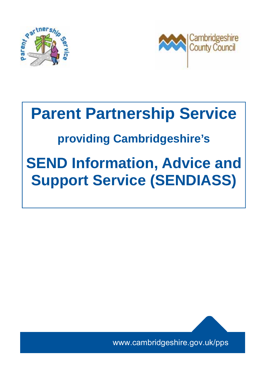



# **Parent Partnership Service**

## **providing Cambridgeshire's**

# **SEND Information, Advice and Support Service (SENDIASS)**



www.cambridgeshire.gov.uk/pps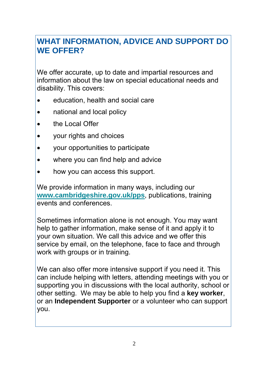### **WHAT INFORMATION, ADVICE AND SUPPORT DO WE OFFER?**

We offer accurate, up to date and impartial resources and information about the law on special educational needs and disability. This covers:

- education, health and social care<br>national and local policy<br>the Local Offer education, health and social care
- national and local policy
- the Local Offer
- vour rights and choices
- your opportunities to participate
- where you can find help and advice
- how you can access this support.

We provide information in many ways, including our **www.cambridgeshire.gov.uk/pps**, publications, training events and conferences.

Sometimes information alone is not enough. You may want help to gather information, make sense of it and apply it to your own situation. We call this advice and we offer this service by email, on the telephone, face to face and through work with groups or in training.

We can also offer more intensive support if you need it. This can include helping with letters, attending meetings with you or supporting you in discussions with the local authority, school or other setting. We may be able to help you find a **key worker**, or an **Independent Supporter** or a volunteer who can support you.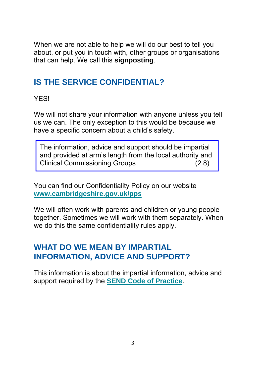When we are not able to help we will do our best to tell you about, or put you in touch with, other groups or organisations that can help. We call this **signposting**.

#### **IS THE SERVICE CONFIDENTIAL?**

**YES!** 

We will not share your information with anyone unless you tell us we can. The only exception to this would be because we have a specific concern about a child's safety.

The information, advice and support should be impartial and provided at arm's length from the local authority and Clinical Commissioning Groups (2.8)

You can find our Confidentiality Policy on our website **www.cambridgeshire.gov.uk/pps**

We will often work with parents and children or young people together. Sometimes we will work with them separately. When we do this the same confidentiality rules apply.

#### **WHAT DO WE MEAN BY IMPARTIAL INFORMATION, ADVICE AND SUPPORT?**

This information is about the impartial information, advice and support required by the **SEND Code of Practice**.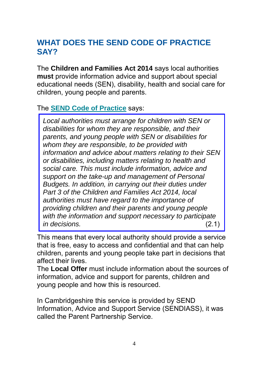### **WHAT DOES THE SEND CODE OF PRACTICE SAY?**

The **Children and Families Act 2014** says local authorities **must** provide information advice and support about special educational needs (SEN), disability, health and social care for children, young people and parents.

#### The **SEND Code of Practice** says:

dren, young people and parents.<br>
SEND Code of Practice says:<br>
Deal authorities must arrange for children with SE<br>
Sabilities for whom they are responsible, and thei *Local authorities must arrange for children with SEN or disabilities for whom they are responsible, and their parents, and young people with SEN or disabilities for whom they are responsible, to be provided with information and advice about matters relating to their SEN or disabilities, including matters relating to health and social care. This must include information, advice and support on the take-up and management of Personal Budgets. In addition, in carrying out their duties under Part 3 of the Children and Families Act 2014, local authorities must have regard to the importance of providing children and their parents and young people with the information and support necessary to participate in decisions.* (2.1)

This means that every local authority should provide a service that is free, easy to access and confidential and that can help children, parents and young people take part in decisions that affect their lives.

The **Local Offer** must include information about the sources of information, advice and support for parents, children and young people and how this is resourced.

In Cambridgeshire this service is provided by SEND Information, Advice and Support Service (SENDIASS), it was called the Parent Partnership Service.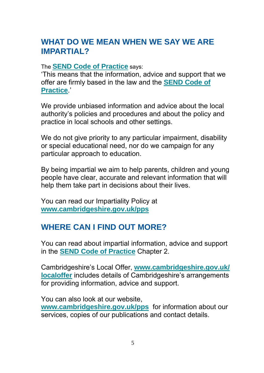#### **WHAT DO WE MEAN WHEN WE SAY WE ARE IMPARTIAL?**

#### The **SEND Code of Practice** says:

'This means that the information, advice and support that we offer are firmly based in the law and the **SEND Code of Practice**.'

We provide unbiased information and advice about the local authority's policies and procedures and about the policy and practice in local schools and other settings.

We do not give priority to any particular impairment, disability or special educational need, nor do we campaign for any particular approach to education.

By being impartial we aim to help parents, children and young people have clear, accurate and relevant information that will help them take part in decisions about their lives.

You can read our Impartiality Policy at **www.cambridgeshire.gov.uk/pps**

#### **WHERE CAN I FIND OUT MORE?**

You can read about impartial information, advice and support in the **SEND Code of Practice** Chapter 2.

Cambridgeshire's Local Offer, **www.cambridgeshire.gov.uk/ localoffer** includes details of Cambridgeshire's arrangements for providing information, advice and support.

You can also look at our website,

**www.cambridgeshire.gov.uk/pps** for information about our services, copies of our publications and contact details.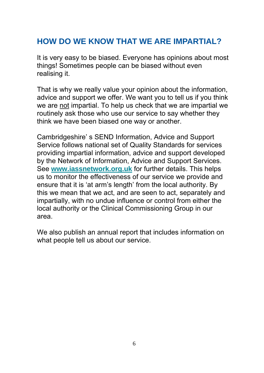### **HOW DO WE KNOW THAT WE ARE IMPARTIAL?**

It is very easy to be biased. Everyone has opinions about most things! Sometimes people can be biased without even realising it.

This wright we reality value your opinion about the fill<br>lice and support we offer. We want you to tell us if<br>are <u>not</u> impartial. To help us check that we are im<br>inely ask those who use our service to say wheth<br>k we have That is why we really value your opinion about the information, advice and support we offer. We want you to tell us if you think we are not impartial. To help us check that we are impartial we routinely ask those who use our service to say whether they think we have been biased one way or another.

Cambridgeshire' s SEND Information, Advice and Support Service follows national set of Quality Standards for services providing impartial information, advice and support developed by the Network of Information, Advice and Support Services. See **www.iassnetwork.org.uk** for further details. This helps us to monitor the effectiveness of our service we provide and ensure that it is 'at arm's length' from the local authority. By this we mean that we act, and are seen to act, separately and impartially, with no undue influence or control from either the local authority or the Clinical Commissioning Group in our area.

We also publish an annual report that includes information on what people tell us about our service.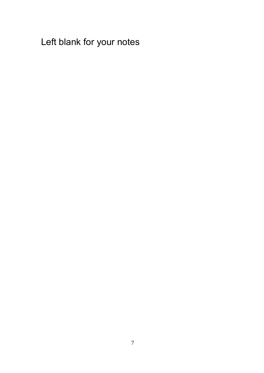Left blank for your notes